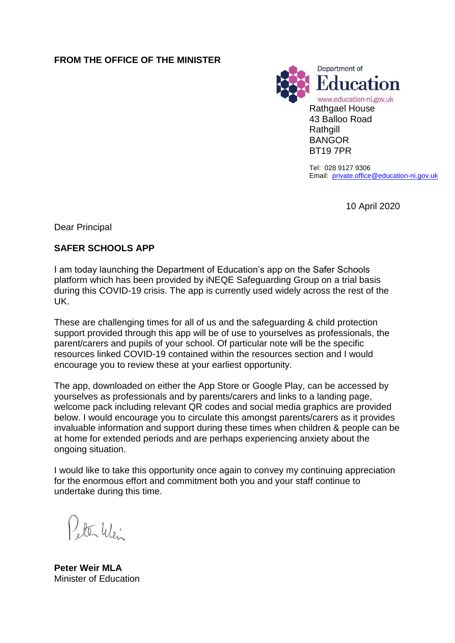### **FROM THE OFFICE OF THE MINISTER**



Tel: 028 9127 9306 Email: [private.office@education-ni.gov.uk](mailto:derek.baker@education-ni.gov.uk)

10 April 2020

Dear Principal

#### **SAFER SCHOOLS APP**

I am today launching the Department of Education's app on the Safer Schools platform which has been provided by iNEQE Safeguarding Group on a trial basis during this COVID-19 crisis. The app is currently used widely across the rest of the UK.

These are challenging times for all of us and the safeguarding & child protection support provided through this app will be of use to yourselves as professionals, the parent/carers and pupils of your school. Of particular note will be the specific resources linked COVID-19 contained within the resources section and I would encourage you to review these at your earliest opportunity.

The app, downloaded on either the App Store or Google Play, can be accessed by yourselves as professionals and by parents/carers and links to a landing page, welcome pack including relevant QR codes and social media graphics are provided below. I would encourage you to circulate this amongst parents/carers as it provides invaluable information and support during these times when children & people can be at home for extended periods and are perhaps experiencing anxiety about the ongoing situation.

I would like to take this opportunity once again to convey my continuing appreciation for the enormous effort and commitment both you and your staff continue to undertake during this time.

ete 46.

**Peter Weir MLA** Minister of Education